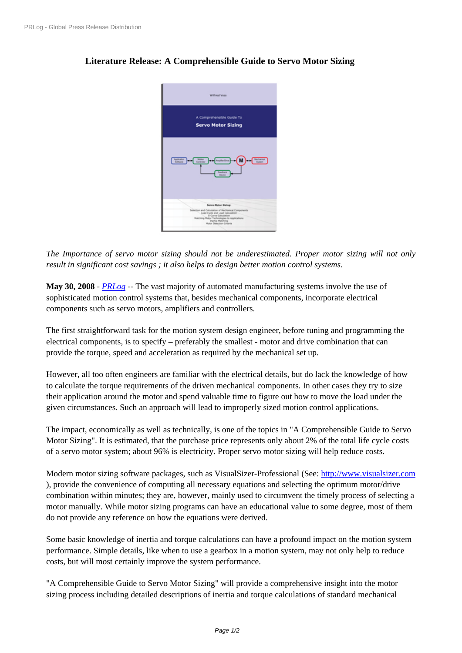## **[Literature Rel](https://www.prlog.org/)ease: A Comprehensible Guide to Servo Motor Sizing**



*The Importance of servo motor [sizing should not be underestimat](https://www.prlog.org/10076326-comprehensible-guide-to-servo-motor-sizing.jpg)ed. Proper motor sizing will not only result in significant cost savings ; it also helps to design better motion control systems.*

**May 30, 2008** - *PRLog* -- The vast majority of automated manufacturing systems involve the use of sophisticated motion control systems that, besides mechanical components, incorporate electrical components such as servo motors, amplifiers and controllers.

The first straigh[tforwar](https://www.prlog.org)d task for the motion system design engineer, before tuning and programming the electrical components, is to specify – preferably the smallest - motor and drive combination that can provide the torque, speed and acceleration as required by the mechanical set up.

However, all too often engineers are familiar with the electrical details, but do lack the knowledge of how to calculate the torque requirements of the driven mechanical components. In other cases they try to size their application around the motor and spend valuable time to figure out how to move the load under the given circumstances. Such an approach will lead to improperly sized motion control applications.

The impact, economically as well as technically, is one of the topics in "A Comprehensible Guide to Servo Motor Sizing". It is estimated, that the purchase price represents only about 2% of the total life cycle costs of a servo motor system; about 96% is electricity. Proper servo motor sizing will help reduce costs.

Modern motor sizing software packages, such as VisualSizer-Professional (See: http://www.visualsizer.com ), provide the convenience of computing all necessary equations and selecting the optimum motor/drive combination within minutes; they are, however, mainly used to circumvent the timely process of selecting a motor manually. While motor sizing programs can have an educational value to [some degree, most of them](http://www.visualsizer.com) do not provide any reference on how the equations were derived.

Some basic knowledge of inertia and torque calculations can have a profound impact on the motion system performance. Simple details, like when to use a gearbox in a motion system, may not only help to reduce costs, but will most certainly improve the system performance.

"A Comprehensible Guide to Servo Motor Sizing" will provide a comprehensive insight into the motor sizing process including detailed descriptions of inertia and torque calculations of standard mechanical